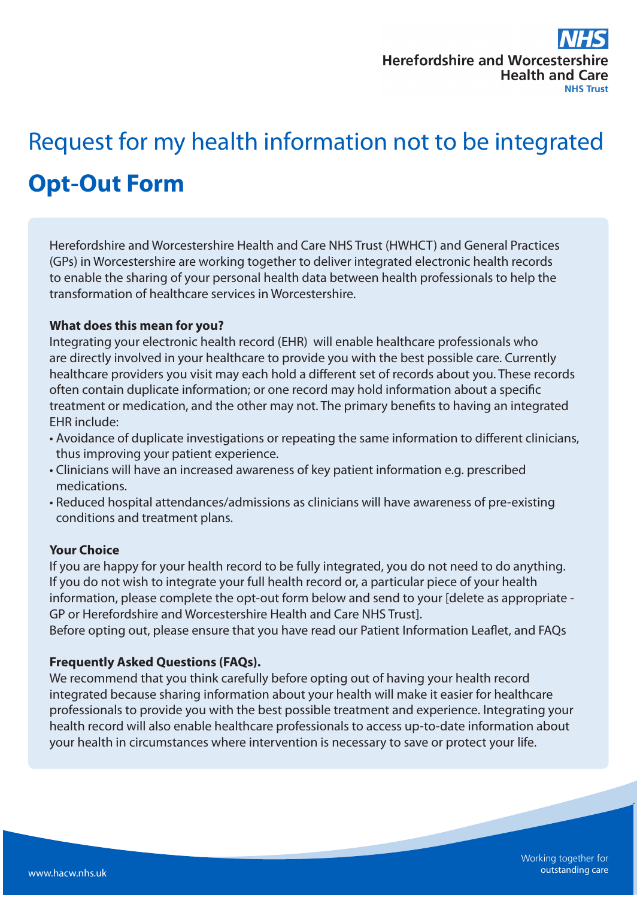# Request for my health information not to be integrated **Opt-Out Form**

Herefordshire and Worcestershire Health and Care NHS Trust (HWHCT) and General Practices (GPs) in Worcestershire are working together to deliver integrated electronic health records to enable the sharing of your personal health data between health professionals to help the transformation of healthcare services in Worcestershire.

### **What does this mean for you?**

Integrating your electronic health record (EHR) will enable healthcare professionals who are directly involved in your healthcare to provide you with the best possible care. Currently healthcare providers you visit may each hold a different set of records about you. These records often contain duplicate information; or one record may hold information about a specific treatment or medication, and the other may not. The primary benefits to having an integrated EHR include:

- Avoidance of duplicate investigations or repeating the same information to different clinicians, thus improving your patient experience.
- Clinicians will have an increased awareness of key patient information e.g. prescribed medications.
- Reduced hospital attendances/admissions as clinicians will have awareness of pre-existing conditions and treatment plans.

#### **Your Choice**

If you are happy for your health record to be fully integrated, you do not need to do anything. If you do not wish to integrate your full health record or, a particular piece of your health information, please complete the opt-out form below and send to your [delete as appropriate - GP or Herefordshire and Worcestershire Health and Care NHS Trust].

Before opting out, please ensure that you have read our Patient Information Leaflet, and FAQs

#### **Frequently Asked Questions (FAQs).**

We recommend that you think carefully before opting out of having your health record integrated because sharing information about your health will make it easier for healthcare professionals to provide you with the best possible treatment and experience. Integrating your health record will also enable healthcare professionals to access up-to-date information about your health in circumstances where intervention is necessary to save or protect your life.